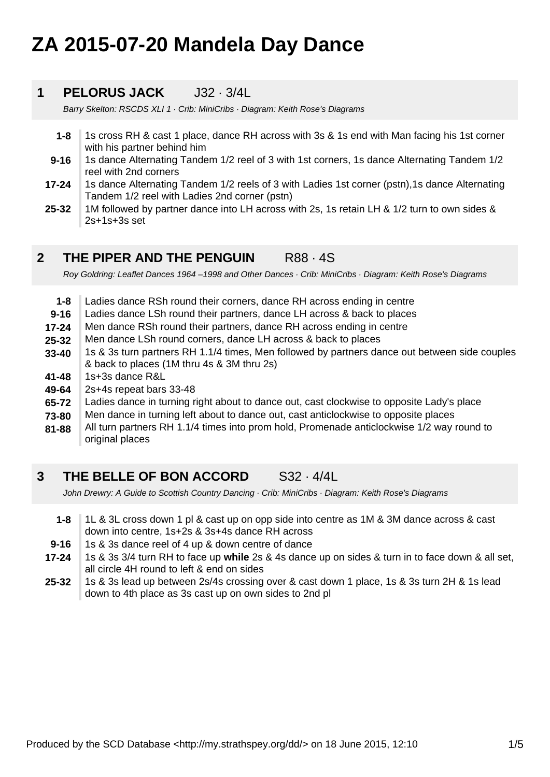# **ZA 2015-07-20 Mandela Day Dance**

#### **1 PELORUS JACK** J32 · 3/4L

Barry Skelton: RSCDS XLI 1 · Crib: MiniCribs · Diagram: Keith Rose's Diagrams

- **1-8** 1s cross RH & cast 1 place, dance RH across with 3s & 1s end with Man facing his 1st corner with his partner behind him
- **9-16** 1s dance Alternating Tandem 1/2 reel of 3 with 1st corners, 1s dance Alternating Tandem 1/2 reel with 2nd corners
- **17-24** 1s dance Alternating Tandem 1/2 reels of 3 with Ladies 1st corner (pstn),1s dance Alternating Tandem 1/2 reel with Ladies 2nd corner (pstn)
- **25-32** 1M followed by partner dance into LH across with 2s, 1s retain LH & 1/2 turn to own sides & 2s+1s+3s set

#### **2 THE PIPER AND THE PENGUIN R88 · 4S**

Roy Goldring: Leaflet Dances 1964 –1998 and Other Dances · Crib: MiniCribs · Diagram: Keith Rose's Diagrams

- **1-8** Ladies dance RSh round their corners, dance RH across ending in centre
- **9-16** Ladies dance LSh round their partners, dance LH across & back to places
- **17-24** Men dance RSh round their partners, dance RH across ending in centre
- **25-32** Men dance LSh round corners, dance LH across & back to places
- **33-40** 1s & 3s turn partners RH 1.1/4 times, Men followed by partners dance out between side couples & back to places (1M thru 4s & 3M thru 2s)
- **41-48** 1s+3s dance R&L
- **49-64** 2s+4s repeat bars 33-48
- **65-72** Ladies dance in turning right about to dance out, cast clockwise to opposite Lady's place
- **73-80** Men dance in turning left about to dance out, cast anticlockwise to opposite places
- **81-88** All turn partners RH 1.1/4 times into prom hold, Promenade anticlockwise 1/2 way round to original places

#### **3 THE BELLE OF BON ACCORD** S32 · 4/4L

John Drewry: A Guide to Scottish Country Dancing · Crib: MiniCribs · Diagram: Keith Rose's Diagrams

- **1-8** 1L & 3L cross down 1 pl & cast up on opp side into centre as 1M & 3M dance across & cast down into centre, 1s+2s & 3s+4s dance RH across
- **9-16** 1s & 3s dance reel of 4 up & down centre of dance
- **17-24** 1s & 3s 3/4 turn RH to face up **while** 2s & 4s dance up on sides & turn in to face down & all set, all circle 4H round to left & end on sides
- **25-32** 1s & 3s lead up between 2s/4s crossing over & cast down 1 place, 1s & 3s turn 2H & 1s lead down to 4th place as 3s cast up on own sides to 2nd pl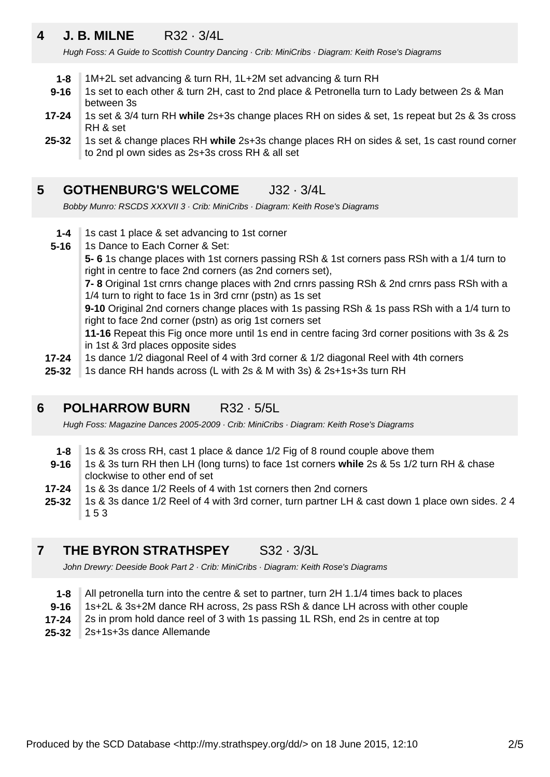## **4 J. B. MILNE** R32 · 3/4L

Hugh Foss: A Guide to Scottish Country Dancing · Crib: MiniCribs · Diagram: Keith Rose's Diagrams

- **1-8** 1M+2L set advancing & turn RH, 1L+2M set advancing & turn RH
- **9-16** 1s set to each other & turn 2H, cast to 2nd place & Petronella turn to Lady between 2s & Man between 3s
- **17-24** 1s set & 3/4 turn RH **while** 2s+3s change places RH on sides & set, 1s repeat but 2s & 3s cross RH & set
- **25-32** 1s set & change places RH **while** 2s+3s change places RH on sides & set, 1s cast round corner to 2nd pl own sides as 2s+3s cross RH & all set

#### **5 GOTHENBURG'S WELCOME** J32 · 3/4L

Bobby Munro: RSCDS XXXVII 3 · Crib: MiniCribs · Diagram: Keith Rose's Diagrams

- **1-4** 1s cast 1 place & set advancing to 1st corner
- **5-16** 1s Dance to Each Corner & Set:

**5- 6** 1s change places with 1st corners passing RSh & 1st corners pass RSh with a 1/4 turn to right in centre to face 2nd corners (as 2nd corners set),

**7- 8** Original 1st crnrs change places with 2nd crnrs passing RSh & 2nd crnrs pass RSh with a 1/4 turn to right to face 1s in 3rd crnr (pstn) as 1s set

**9-10** Original 2nd corners change places with 1s passing RSh & 1s pass RSh with a 1/4 turn to right to face 2nd corner (pstn) as orig 1st corners set

**11-16** Repeat this Fig once more until 1s end in centre facing 3rd corner positions with 3s & 2s in 1st & 3rd places opposite sides

- **17-24** 1s dance 1/2 diagonal Reel of 4 with 3rd corner & 1/2 diagonal Reel with 4th corners
- **25-32** 1s dance RH hands across (L with 2s & M with 3s) & 2s+1s+3s turn RH

#### **6 POLHARROW BURN** R32 · 5/5L

Hugh Foss: Magazine Dances 2005-2009 · Crib: MiniCribs · Diagram: Keith Rose's Diagrams

- **1-8** 1s & 3s cross RH, cast 1 place & dance 1/2 Fig of 8 round couple above them
- **9-16** 1s & 3s turn RH then LH (long turns) to face 1st corners **while** 2s & 5s 1/2 turn RH & chase clockwise to other end of set
- **17-24** 1s & 3s dance 1/2 Reels of 4 with 1st corners then 2nd corners
- **25-32** 1s & 3s dance 1/2 Reel of 4 with 3rd corner, turn partner LH & cast down 1 place own sides. 2 4 1 5 3

#### **7 THE BYRON STRATHSPEY** S32 · 3/3L

John Drewry: Deeside Book Part 2 · Crib: MiniCribs · Diagram: Keith Rose's Diagrams

- **1-8** All petronella turn into the centre & set to partner, turn 2H 1.1/4 times back to places
- **9-16** 1s+2L & 3s+2M dance RH across, 2s pass RSh & dance LH across with other couple
- **17-24** 2s in prom hold dance reel of 3 with 1s passing 1L RSh, end 2s in centre at top
- **25-32** 2s+1s+3s dance Allemande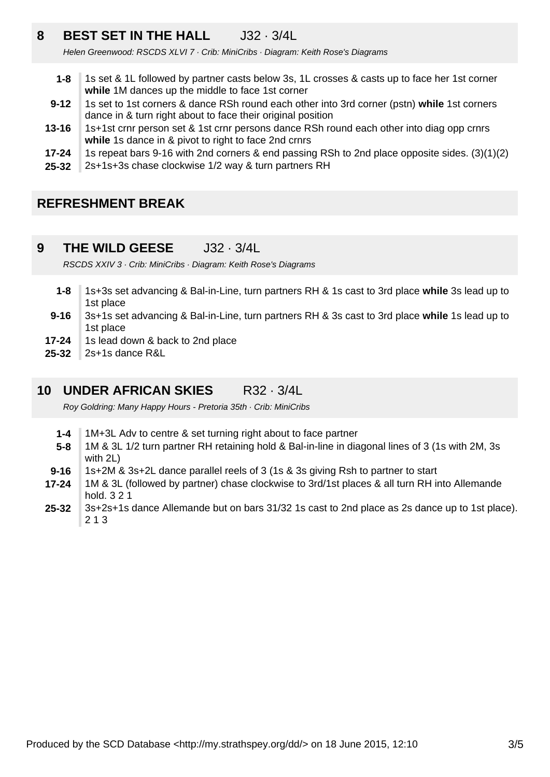## **8 BEST SET IN THE HALL** J32 · 3/4L

Helen Greenwood: RSCDS XLVI 7 · Crib: MiniCribs · Diagram: Keith Rose's Diagrams

- **1-8** 1s set & 1L followed by partner casts below 3s, 1L crosses & casts up to face her 1st corner **while** 1M dances up the middle to face 1st corner
- **9-12** 1s set to 1st corners & dance RSh round each other into 3rd corner (pstn) **while** 1st corners dance in & turn right about to face their original position
- **13-16** 1s+1st crnr person set & 1st crnr persons dance RSh round each other into diag opp crnrs **while** 1s dance in & pivot to right to face 2nd crnrs
- **17-24** 1s repeat bars 9-16 with 2nd corners & end passing RSh to 2nd place opposite sides. (3)(1)(2)
- **25-32** 2s+1s+3s chase clockwise 1/2 way & turn partners RH

### **REFRESHMENT BREAK**

**9 THE WILD GEESE** J32 · 3/4L

RSCDS XXIV 3 · Crib: MiniCribs · Diagram: Keith Rose's Diagrams

- **1-8** 1s+3s set advancing & Bal-in-Line, turn partners RH & 1s cast to 3rd place **while** 3s lead up to 1st place
- **9-16** 3s+1s set advancing & Bal-in-Line, turn partners RH & 3s cast to 3rd place **while** 1s lead up to 1st place
- **17-24** 1s lead down & back to 2nd place
- **25-32** 2s+1s dance R&L

#### **10 UNDER AFRICAN SKIES** R32 · 3/4L

Roy Goldring: Many Happy Hours - Pretoria 35th · Crib: MiniCribs

- **1-4** 1M+3L Adv to centre & set turning right about to face partner
- **5-8** 1M & 3L 1/2 turn partner RH retaining hold & Bal-in-line in diagonal lines of 3 (1s with 2M, 3s with 2L)
- **9-16** 1s+2M & 3s+2L dance parallel reels of 3 (1s & 3s giving Rsh to partner to start
- **17-24** 1M & 3L (followed by partner) chase clockwise to 3rd/1st places & all turn RH into Allemande hold. 3 2 1
- **25-32** 3s+2s+1s dance Allemande but on bars 31/32 1s cast to 2nd place as 2s dance up to 1st place). 2 1 3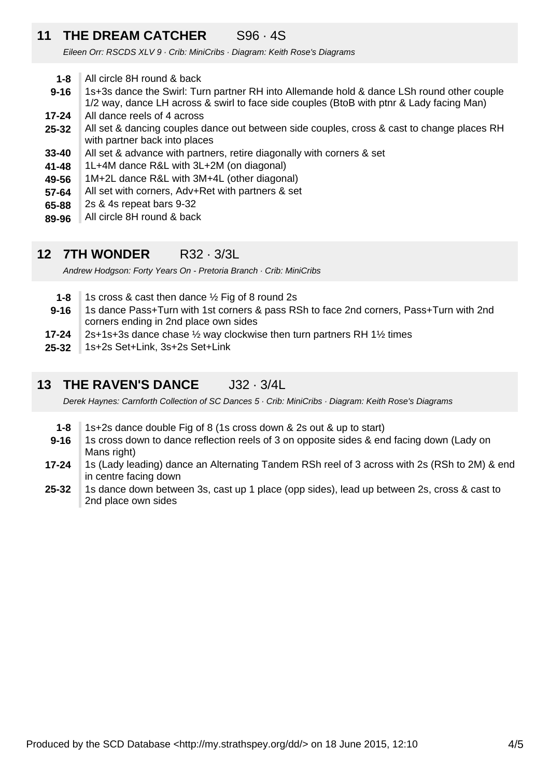### **11 THE DREAM CATCHER** S96 · 4S

Eileen Orr: RSCDS XLV 9 · Crib: MiniCribs · Diagram: Keith Rose's Diagrams

- **1-8** All circle 8H round & back
- **9-16** 1s+3s dance the Swirl: Turn partner RH into Allemande hold & dance LSh round other couple 1/2 way, dance LH across & swirl to face side couples (BtoB with ptnr & Lady facing Man)
- **17-24** All dance reels of 4 across
- **25-32** All set & dancing couples dance out between side couples, cross & cast to change places RH with partner back into places
- **33-40** All set & advance with partners, retire diagonally with corners & set
- **41-48** 1L+4M dance R&L with 3L+2M (on diagonal)
- **49-56** 1M+2L dance R&L with 3M+4L (other diagonal)
- **57-64** All set with corners, Adv+Ret with partners & set
- **65-88** 2s & 4s repeat bars 9-32
- **89-96** All circle 8H round & back

### **12 7TH WONDER** R32 · 3/3L

Andrew Hodgson: Forty Years On - Pretoria Branch · Crib: MiniCribs

- **1-8** 1s cross & cast then dance ½ Fig of 8 round 2s
- **9-16** 1s dance Pass+Turn with 1st corners & pass RSh to face 2nd corners, Pass+Turn with 2nd corners ending in 2nd place own sides
- **17-24** 2s+1s+3s dance chase ½ way clockwise then turn partners RH 1½ times
- **25-32** 1s+2s Set+Link, 3s+2s Set+Link

#### **13 THE RAVEN'S DANCE** J32 · 3/4L

Derek Haynes: Carnforth Collection of SC Dances 5 · Crib: MiniCribs · Diagram: Keith Rose's Diagrams

- **1-8** 1s+2s dance double Fig of 8 (1s cross down & 2s out & up to start)
- **9-16** 1s cross down to dance reflection reels of 3 on opposite sides & end facing down (Lady on Mans right)
- **17-24** 1s (Lady leading) dance an Alternating Tandem RSh reel of 3 across with 2s (RSh to 2M) & end in centre facing down
- **25-32** 1s dance down between 3s, cast up 1 place (opp sides), lead up between 2s, cross & cast to 2nd place own sides